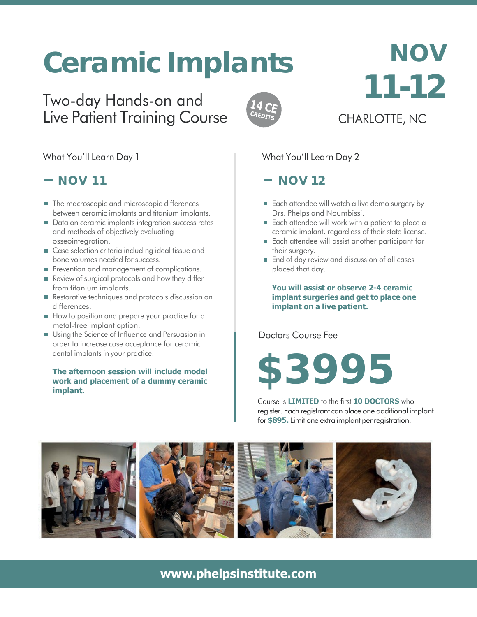# **Ceramic Implants**

# Two-day Hands-on and Live Patient Training Course



# **NOV 11-12** CHARLOTTE, NC

#### What You'll Learn Day 1

# **NOV 11**

- The macroscopic and microscopic differences between ceramic implants and titanium implants.
- Data on ceramic implants integration success rates and methods of objectively evaluating osseointegration.
- Case selection criteria including ideal tissue and bone volumes needed for success.
- Prevention and management of complications.
- Review of surgical protocols and how they differ from titanium implants.
- Restorative techniques and protocols discussion on differences.
- How to position and prepare your practice for a metal-free implant option.
- Using the Science of Influence and Persuasion in order to increase case acceptance for ceramic dental implants in your practice.

#### **The afternoon session will include model work and placement of a dummy ceramic implant.**

### What You'll Learn Day 2

# $-$  NOV 12

- Each attendee will watch a live demo surgery by Drs. Phelps and Noumbissi.
- Each attendee will work with a patient to place a ceramic implant, regardless of their state license.
- Each attendee will assist another participant for their surgery.
- **End of day review and discussion of all cases** placed that day.

**You will assist or observe 2-4 ceramic implant surgeries and get to place one implant on a live patient.**

Doctors Course Fee

# **\$3995**

Course is **LIMITED** to the first **10 DOCTORS** who register. Each registrant can place one additional implant for**\$895.** Limit one extra implant perregistration.



# **[www.phelpsinstitute.com](http://www.phelpsinstitute.com/)**